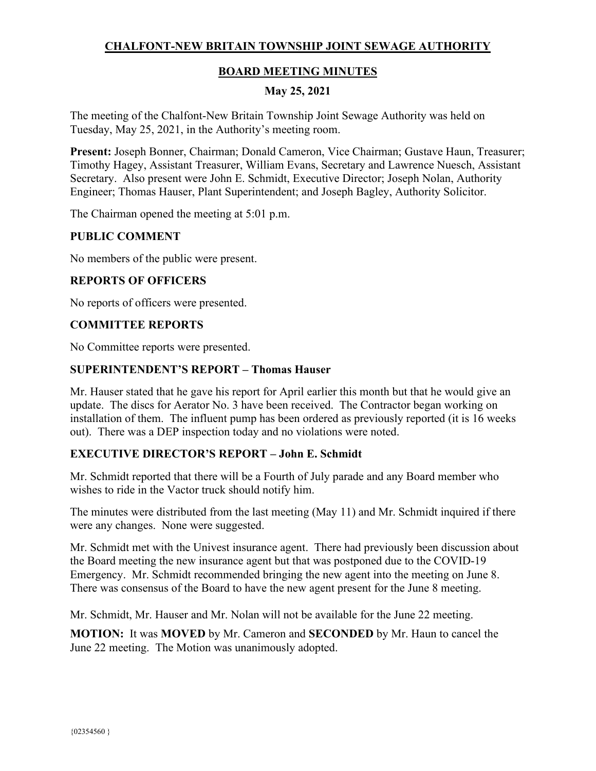# **CHALFONT-NEW BRITAIN TOWNSHIP JOINT SEWAGE AUTHORITY**

# **BOARD MEETING MINUTES**

## **May 25, 2021**

The meeting of the Chalfont-New Britain Township Joint Sewage Authority was held on Tuesday, May 25, 2021, in the Authority's meeting room.

**Present:** Joseph Bonner, Chairman; Donald Cameron, Vice Chairman; Gustave Haun, Treasurer; Timothy Hagey, Assistant Treasurer, William Evans, Secretary and Lawrence Nuesch, Assistant Secretary. Also present were John E. Schmidt, Executive Director; Joseph Nolan, Authority Engineer; Thomas Hauser, Plant Superintendent; and Joseph Bagley, Authority Solicitor.

The Chairman opened the meeting at 5:01 p.m.

#### **PUBLIC COMMENT**

No members of the public were present.

## **REPORTS OF OFFICERS**

No reports of officers were presented.

#### **COMMITTEE REPORTS**

No Committee reports were presented.

#### **SUPERINTENDENT'S REPORT – Thomas Hauser**

Mr. Hauser stated that he gave his report for April earlier this month but that he would give an update. The discs for Aerator No. 3 have been received. The Contractor began working on installation of them. The influent pump has been ordered as previously reported (it is 16 weeks out). There was a DEP inspection today and no violations were noted.

#### **EXECUTIVE DIRECTOR'S REPORT – John E. Schmidt**

Mr. Schmidt reported that there will be a Fourth of July parade and any Board member who wishes to ride in the Vactor truck should notify him.

The minutes were distributed from the last meeting (May 11) and Mr. Schmidt inquired if there were any changes. None were suggested.

Mr. Schmidt met with the Univest insurance agent. There had previously been discussion about the Board meeting the new insurance agent but that was postponed due to the COVID-19 Emergency. Mr. Schmidt recommended bringing the new agent into the meeting on June 8. There was consensus of the Board to have the new agent present for the June 8 meeting.

Mr. Schmidt, Mr. Hauser and Mr. Nolan will not be available for the June 22 meeting.

**MOTION:** It was **MOVED** by Mr. Cameron and **SECONDED** by Mr. Haun to cancel the June 22 meeting. The Motion was unanimously adopted.